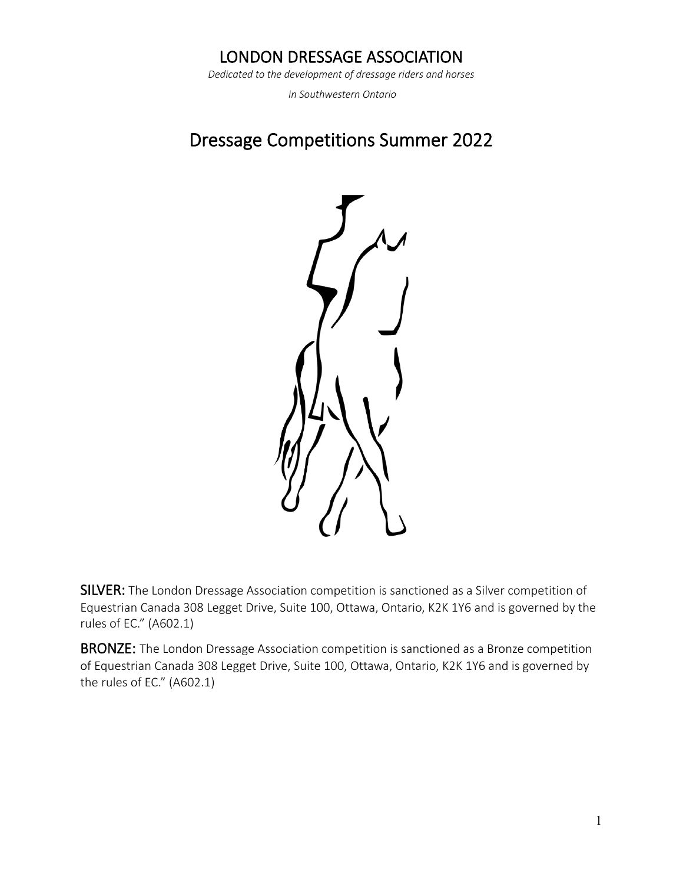# LONDON DRESSAGE ASSOCIATION

*Dedicated to the development of dressage riders and horses*

*in Southwestern Ontario*

# Dressage Competitions Summer 2022



SILVER: The London Dressage Association competition is sanctioned as a Silver competition of Equestrian Canada 308 Legget Drive, Suite 100, Ottawa, Ontario, K2K 1Y6 and is governed by the rules of EC." (A602.1)

**BRONZE:** The London Dressage Association competition is sanctioned as a Bronze competition of Equestrian Canada 308 Legget Drive, Suite 100, Ottawa, Ontario, K2K 1Y6 and is governed by the rules of EC." (A602.1)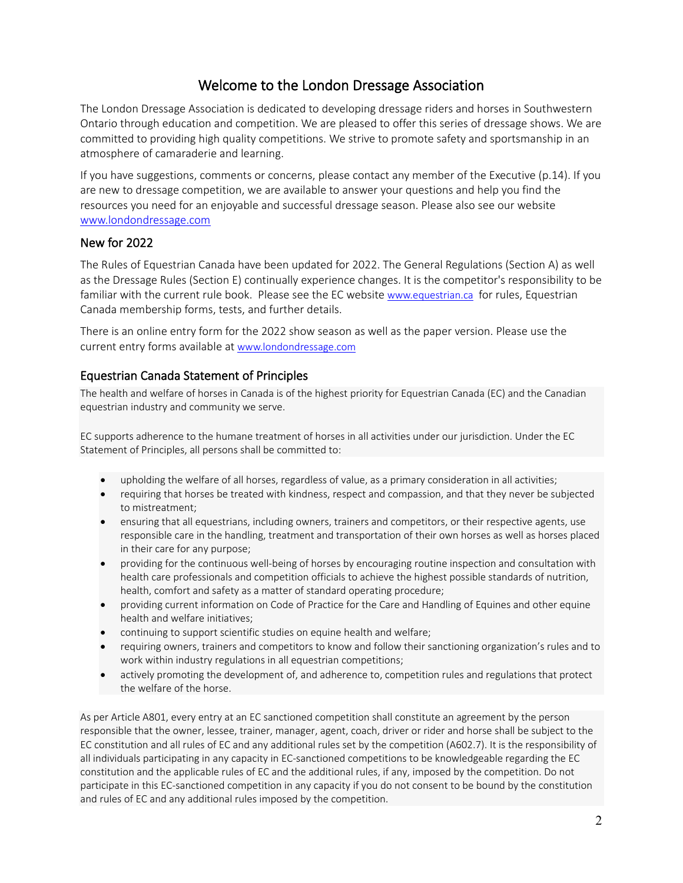# Welcome to the London Dressage Association

The London Dressage Association is dedicated to developing dressage riders and horses in Southwestern Ontario through education and competition. We are pleased to offer this series of dressage shows. We are committed to providing high quality competitions. We strive to promote safety and sportsmanship in an atmosphere of camaraderie and learning.

If you have suggestions, comments or concerns, please contact any member of the Executive (p.14). If you are new to dressage competition, we are available to answer your questions and help you find the resources you need for an enjoyable and successful dressage season. Please also see our website [www.londondressage.com](http://www.londondressage.com/) 

### New for 2022

The Rules of Equestrian Canada have been updated for 2022. The General Regulations (Section A) as well as the Dressage Rules (Section E) continually experience changes. It is the competitor's responsibility to be familiar with the current rule book. Please see the EC website [www.equestrian.ca](http://www.equestrian.ca/) for rules, Equestrian Canada membership forms, tests, and further details.

There is an online entry form for the 2022 show season as well as the paper version. Please use the current entry forms available at [www.londondressage.com](http://www.londondressage.com/)

### Equestrian Canada Statement of Principles

The health and welfare of horses in Canada is of the highest priority for Equestrian Canada (EC) and the Canadian equestrian industry and community we serve.

EC supports adherence to the humane treatment of horses in all activities under our jurisdiction. Under the EC Statement of Principles, all persons shall be committed to:

- upholding the welfare of all horses, regardless of value, as a primary consideration in all activities;
- requiring that horses be treated with kindness, respect and compassion, and that they never be subjected to mistreatment;
- ensuring that all equestrians, including owners, trainers and competitors, or their respective agents, use responsible care in the handling, treatment and transportation of their own horses as well as horses placed in their care for any purpose;
- providing for the continuous well-being of horses by encouraging routine inspection and consultation with health care professionals and competition officials to achieve the highest possible standards of nutrition, health, comfort and safety as a matter of standard operating procedure;
- providing current information on Code of Practice for the Care and Handling of Equines and other equine health and welfare initiatives;
- continuing to support scientific studies on equine health and welfare;
- requiring owners, trainers and competitors to know and follow their sanctioning organization's rules and to work within industry regulations in all equestrian competitions;
- actively promoting the development of, and adherence to, competition rules and regulations that protect the welfare of the horse.

As per Article A801, every entry at an EC sanctioned competition shall constitute an agreement by the person responsible that the owner, lessee, trainer, manager, agent, coach, driver or rider and horse shall be subject to the EC constitution and all rules of EC and any additional rules set by the competition (A602.7). It is the responsibility of all individuals participating in any capacity in EC-sanctioned competitions to be knowledgeable regarding the EC constitution and the applicable rules of EC and the additional rules, if any, imposed by the competition. Do not participate in this EC-sanctioned competition in any capacity if you do not consent to be bound by the constitution and rules of EC and any additional rules imposed by the competition.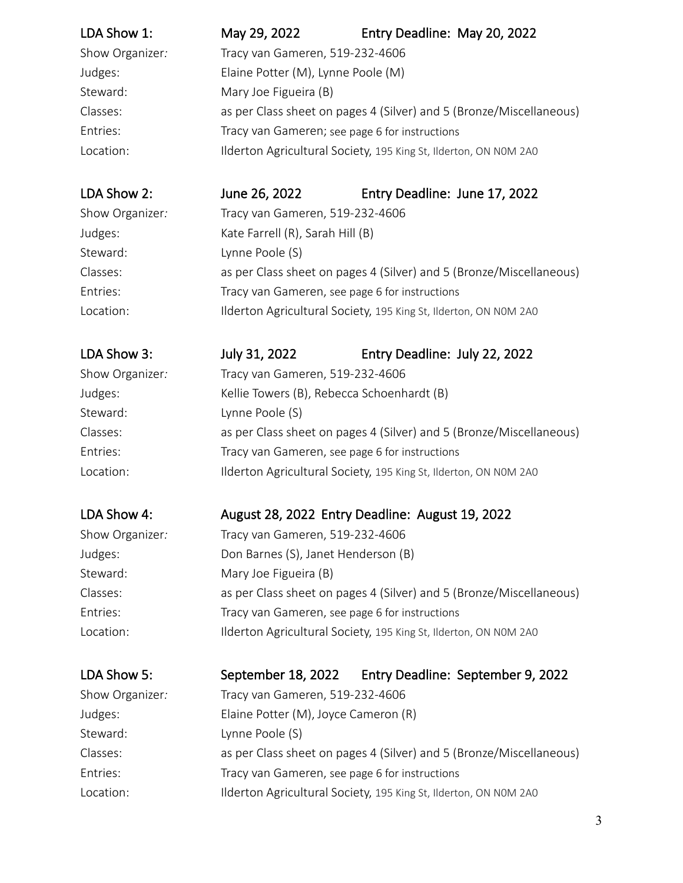| LDA Show 1:     | May 29, 2022                                                        | Entry Deadline: May 20, 2022 |  |  |
|-----------------|---------------------------------------------------------------------|------------------------------|--|--|
| Show Organizer: | Tracy van Gameren, 519-232-4606                                     |                              |  |  |
| Judges:         | Elaine Potter (M), Lynne Poole (M)                                  |                              |  |  |
| Steward:        | Mary Joe Figueira (B)                                               |                              |  |  |
| Classes:        | as per Class sheet on pages 4 (Silver) and 5 (Bronze/Miscellaneous) |                              |  |  |
| Entries:        | Tracy van Gameren; see page 6 for instructions                      |                              |  |  |
| Location:       | Ilderton Agricultural Society, 195 King St, Ilderton, ON NOM 2A0    |                              |  |  |
|                 |                                                                     |                              |  |  |

LDA Show 2: June 26, 2022 Entry Deadline: June 17, 2022

Show Organizer*:* Tracy van Gameren, 519-232-4606 Judges: Kate Farrell (R), Sarah Hill (B) Steward: Lynne Poole (S) Classes: as per Class sheet on pages 4 (Silver) and 5 (Bronze/Miscellaneous) Entries: Tracy van Gameren, see page 6 for instructions Location: Ilderton Agricultural Society, 195 King St, Ilderton, ON NOM 2A0

# LDA Show 3: July 31, 2022 Entry Deadline: July 22, 2022

Show Organizer*:* Tracy van Gameren, 519-232-4606 Judges: Kellie Towers (B), Rebecca Schoenhardt (B) Steward: Lynne Poole (S) Classes: as per Class sheet on pages 4 (Silver) and 5 (Bronze/Miscellaneous) Entries: Tracy van Gameren, see page 6 for instructions Location: Ilderton Agricultural Society, 195 King St, Ilderton, ON NOM 2A0

# LDA Show 4: August 28, 2022 Entry Deadline: August 19, 2022

| Show Organizer:<br>Tracy van Gameren, 519-232-4606                              |  |
|---------------------------------------------------------------------------------|--|
| Don Barnes (S), Janet Henderson (B)<br>Judges:                                  |  |
| Steward:<br>Mary Joe Figueira (B)                                               |  |
| as per Class sheet on pages 4 (Silver) and 5 (Bronze/Miscellaneous)<br>Classes: |  |
| Tracy van Gameren, see page 6 for instructions<br>Entries:                      |  |
| Ilderton Agricultural Society, 195 King St, Ilderton, ON NOM 2A0<br>Location:   |  |

# LDA Show 5: September 18, 2022 Entry Deadline: September 9, 2022

| Show Organizer: | Tracy van Gameren, 519-232-4606                                     |
|-----------------|---------------------------------------------------------------------|
| Judges:         | Elaine Potter (M), Joyce Cameron (R)                                |
| Steward:        | Lynne Poole (S)                                                     |
| Classes:        | as per Class sheet on pages 4 (Silver) and 5 (Bronze/Miscellaneous) |
| Entries:        | Tracy van Gameren, see page 6 for instructions                      |
| Location:       | Ilderton Agricultural Society, 195 King St, Ilderton, ON NOM 2A0    |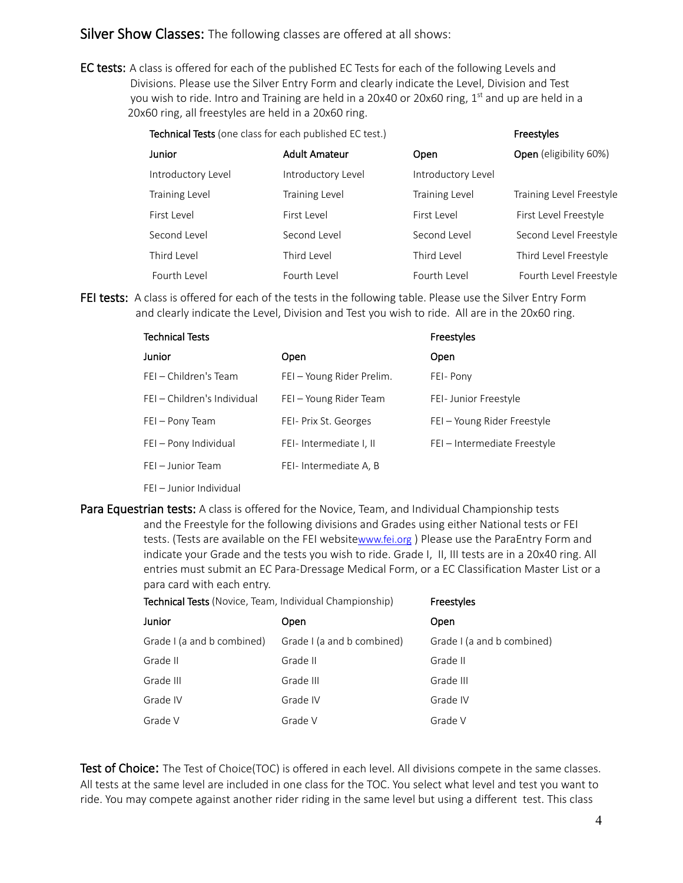Silver Show Classes: The following classes are offered at all shows:

EC tests: A class is offered for each of the published EC Tests for each of the following Levels and Divisions. Please use the Silver Entry Form and clearly indicate the Level, Division and Test you wish to ride. Intro and Training are held in a 20x40 or 20x60 ring,  $1<sup>st</sup>$  and up are held in a 20x60 ring, all freestyles are held in a 20x60 ring.

Technical Tests (one class for each published EC test.) Freestyles

| Junior                | <b>Adult Amateur</b>  | Open                  | Open (eligibility 60%)   |
|-----------------------|-----------------------|-----------------------|--------------------------|
| Introductory Level    | Introductory Level    | Introductory Level    |                          |
| <b>Training Level</b> | <b>Training Level</b> | <b>Training Level</b> | Training Level Freestyle |
| First Level           | First Level           | First Level           | First Level Freestyle    |
| Second Level          | Second Level          | Second Level          | Second Level Freestyle   |
| Third Level           | Third Level           | Third Level           | Third Level Freestyle    |
| Fourth Level          | Fourth Level          | Fourth Level          | Fourth Level Freestyle   |

FEI tests: A class is offered for each of the tests in the following table. Please use the Silver Entry Form and clearly indicate the Level, Division and Test you wish to ride. All are in the 20x60 ring.

| <b>Technical Tests</b>      |                           | Freestyles                   |
|-----------------------------|---------------------------|------------------------------|
| Junior                      | Open                      | Open                         |
| FEI – Children's Team       | FEI – Young Rider Prelim. | FEI-Pony                     |
| FEI – Children's Individual | FEI - Young Rider Team    | FEI-Junior Freestyle         |
| FEI - Pony Team             | FEI- Prix St. Georges     | FEI – Young Rider Freestyle  |
| FEI - Pony Individual       | FEI-Intermediate I, II    | FEI - Intermediate Freestyle |
| FEI - Junior Team           | FEI-Intermediate A, B     |                              |
|                             |                           |                              |

- FEI Junior Individual
- Para Equestrian tests: A class is offered for the Novice, Team, and Individual Championship tests and the Freestyle for the following divisions and Grades using either National tests or FEI tests. (Tests are available on the FEI websit[ewww.fei.org](http://www.fei.org/)) Please use the ParaEntry Form and indicate your Grade and the tests you wish to ride. Grade I, II, III tests are in a 20x40 ring. All entries must submit an EC Para-Dressage Medical Form, or a EC Classification Master List or a para card with each entry.

| Grade I (a and b combined) |
|----------------------------|
|                            |
|                            |
|                            |
|                            |
|                            |

Test of Choice: The Test of Choice(TOC) is offered in each level. All divisions compete in the same classes. All tests at the same level are included in one class for the TOC. You select what level and test you want to ride. You may compete against another rider riding in the same level but using a different test. This class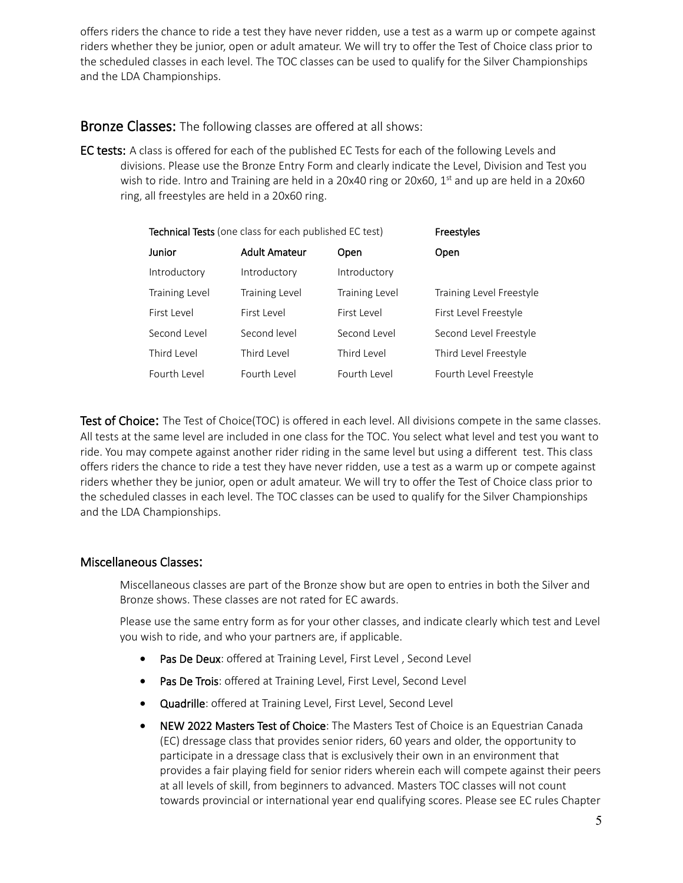offers riders the chance to ride a test they have never ridden, use a test as a warm up or compete against riders whether they be junior, open or adult amateur. We will try to offer the Test of Choice class prior to the scheduled classes in each level. The TOC classes can be used to qualify for the Silver Championships and the LDA Championships.

**Bronze Classes:** The following classes are offered at all shows:

EC tests: A class is offered for each of the published EC Tests for each of the following Levels and divisions. Please use the Bronze Entry Form and clearly indicate the Level, Division and Test you wish to ride. Intro and Training are held in a 20x40 ring or 20x60,  $1<sup>st</sup>$  and up are held in a 20x60 ring, all freestyles are held in a 20x60 ring.

| Technical Tests (one class for each published EC test) |                       |                       | Freestyles               |
|--------------------------------------------------------|-----------------------|-----------------------|--------------------------|
| Junior                                                 | <b>Adult Amateur</b>  | Open                  | Open                     |
| Introductory                                           | Introductory          | Introductory          |                          |
| <b>Training Level</b>                                  | <b>Training Level</b> | <b>Training Level</b> | Training Level Freestyle |
| First Level                                            | First Level           | First Level           | First Level Freestyle    |
| Second Level                                           | Second level          | Second Level          | Second Level Freestyle   |
| Third Level                                            | Third Level           | Third Level           | Third Level Freestyle    |
| Fourth Level                                           | Fourth Level          | Fourth Level          | Fourth Level Freestyle   |

**Test of Choice:** The Test of Choice(TOC) is offered in each level. All divisions compete in the same classes. All tests at the same level are included in one class for the TOC. You select what level and test you want to ride. You may compete against another rider riding in the same level but using a different test. This class offers riders the chance to ride a test they have never ridden, use a test as a warm up or compete against riders whether they be junior, open or adult amateur. We will try to offer the Test of Choice class prior to the scheduled classes in each level. The TOC classes can be used to qualify for the Silver Championships and the LDA Championships.

# Miscellaneous Classes:

Miscellaneous classes are part of the Bronze show but are open to entries in both the Silver and Bronze shows. These classes are not rated for EC awards.

Please use the same entry form as for your other classes, and indicate clearly which test and Level you wish to ride, and who your partners are, if applicable.

- Pas De Deux: offered at Training Level, First Level, Second Level
- Pas De Trois: offered at Training Level, First Level, Second Level
- Quadrille: offered at Training Level, First Level, Second Level
- NEW 2022 Masters Test of Choice: The Masters Test of Choice is an Equestrian Canada (EC) dressage class that provides senior riders, 60 years and older, the opportunity to participate in a dressage class that is exclusively their own in an environment that provides a fair playing field for senior riders wherein each will compete against their peers at all levels of skill, from beginners to advanced. Masters TOC classes will not count towards provincial or international year end qualifying scores. Please see EC rules Chapter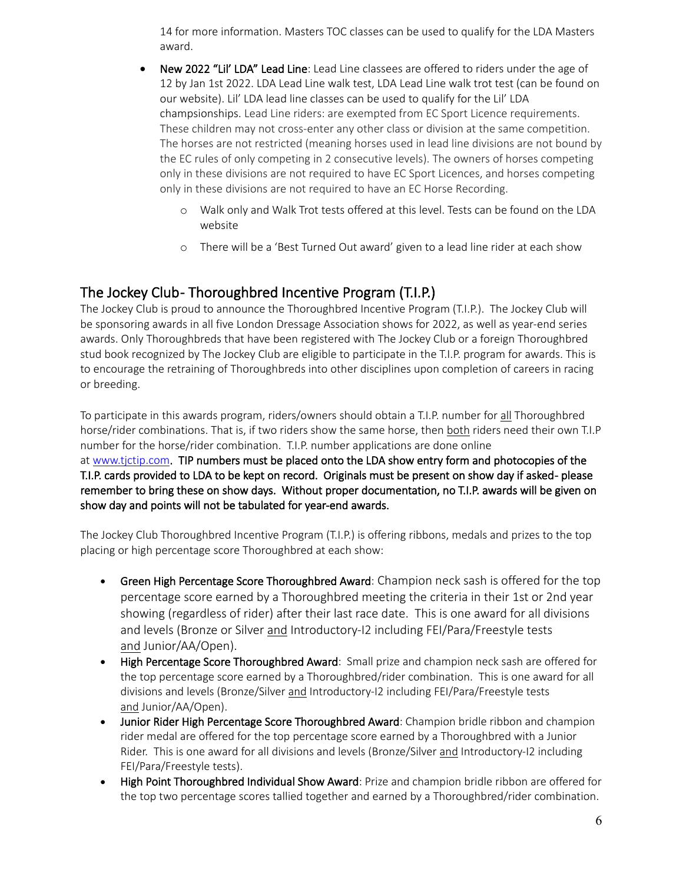14 for more information. Masters TOC classes can be used to qualify for the LDA Masters award.

- New 2022 "Lil' LDA" Lead Line: Lead Line classees are offered to riders under the age of 12 by Jan 1st 2022. LDA Lead Line walk test, LDA Lead Line walk trot test (can be found on our website). Lil' LDA lead line classes can be used to qualify for the Lil' LDA champsionships. Lead Line riders: are exempted from EC Sport Licence requirements. These children may not cross-enter any other class or division at the same competition. The horses are not restricted (meaning horses used in lead line divisions are not bound by the EC rules of only competing in 2 consecutive levels). The owners of horses competing only in these divisions are not required to have EC Sport Licences, and horses competing only in these divisions are not required to have an EC Horse Recording.
	- o Walk only and Walk Trot tests offered at this level. Tests can be found on the LDA website
	- o There will be a 'Best Turned Out award' given to a lead line rider at each show

**The Jockey Club- Thoroughbred Incentive Program (T.I.P.)**<br>The Jockey Club is proud to announce the Thoroughbred Incentive Program (T.I.P.). The Jockey Club will be sponsoring awards in all five London Dressage Association shows for 2022, as well as year-end series awards. Only Thoroughbreds that have been registered with The Jockey Club or a foreign Thoroughbred stud book recognized by The Jockey Club are eligible to participate in the T.I.P. program for awards. This is to encourage the retraining of Thoroughbreds into other disciplines upon completion of careers in racing or breeding.

To participate in this awards program, riders/owners should obtain a T.I.P. number for all Thoroughbred horse/rider combinations. That is, if two riders show the same horse, then both riders need their own T.I.P number for the horse/rider combination. T.I.P. number applications are done online at [www.tjctip.com.](http://www.tjctip.com/) TIP numbers must be placed onto the LDA show entry form and photocopies of the T.I.P. cards provided to LDA to be kept on record. Originals must be present on show day if asked - please remember to bring these on show days. Without proper documentation, no T.I.P. awards will be given on show day and points will not be tabulated for year-end awards.

The Jockey Club Thoroughbred Incentive Program (T.I.P.) is offering ribbons, medals and prizes to the top placing or high percentage score Thoroughbred at each show:

- Green High Percentage Score Thoroughbred Award: Champion neck sash is offered for the top percentage score earned by a Thoroughbred meeting the criteria in their 1st or 2nd year showing (regardless of rider) after their last race date. This is one award for all divisions and levels (Bronze or Silver and Introductory-I2 including FEI/Para/Freestyle tests and Junior/AA/Open).
- High Percentage Score Thoroughbred Award: Small prize and champion neck sash are offered for the top percentage score earned by a Thoroughbred/rider combination. This is one award for all divisions and levels (Bronze/Silver and Introductory-I2 including FEI/Para/Freestyle tests and Junior/AA/Open).
- Junior Rider High Percentage Score Thoroughbred Award: Champion bridle ribbon and champion rider medal are offered for the top percentage score earned by a Thoroughbred with a Junior Rider. This is one award for all divisions and levels (Bronze/Silver and Introductory-I2 including FEI/Para/Freestyle tests).
- **High Point Thoroughbred Individual Show Award: Prize and champion bridle ribbon are offered for** the top two percentage scores tallied together and earned by a Thoroughbred/rider combination.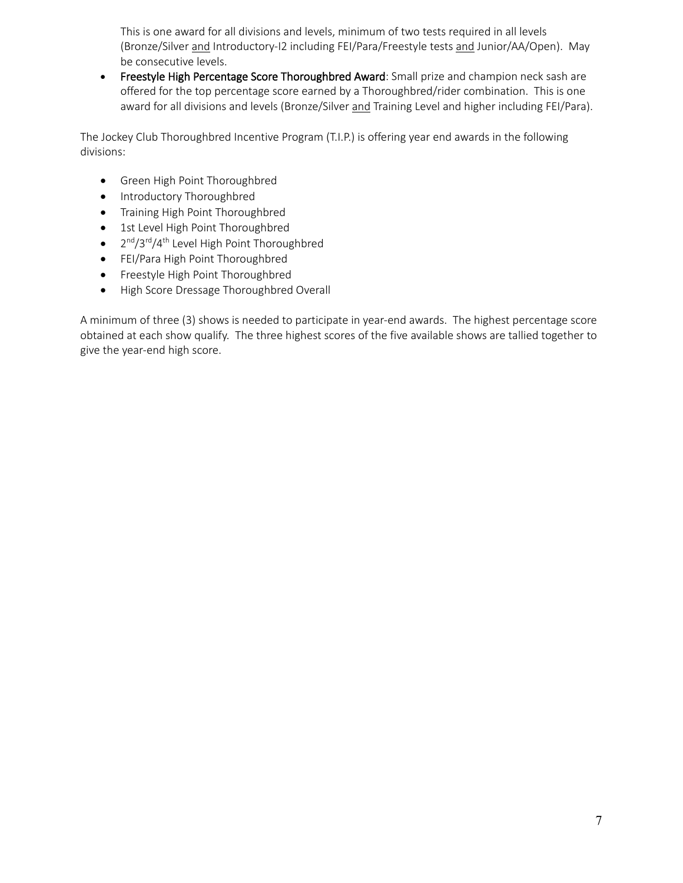This is one award for all divisions and levels, minimum of two tests required in all levels (Bronze/Silver and Introductory-I2 including FEI/Para/Freestyle tests and Junior/AA/Open). May be consecutive levels.

• Freestyle High Percentage Score Thoroughbred Award: Small prize and champion neck sash are offered for the top percentage score earned by a Thoroughbred/rider combination. This is one award for all divisions and levels (Bronze/Silver and Training Level and higher including FEI/Para).

The Jockey Club Thoroughbred Incentive Program (T.I.P.) is offering year end awards in the following divisions:

- Green High Point Thoroughbred
- Introductory Thoroughbred
- Training High Point Thoroughbred
- 1st Level High Point Thoroughbred
- $2^{nd}/3^{rd}/4^{th}$  Level High Point Thoroughbred
- FEI/Para High Point Thoroughbred
- Freestyle High Point Thoroughbred
- High Score Dressage Thoroughbred Overall

A minimum of three (3) shows is needed to participate in year-end awards. The highest percentage score obtained at each show qualify. The three highest scores of the five available shows are tallied together to give the year-end high score.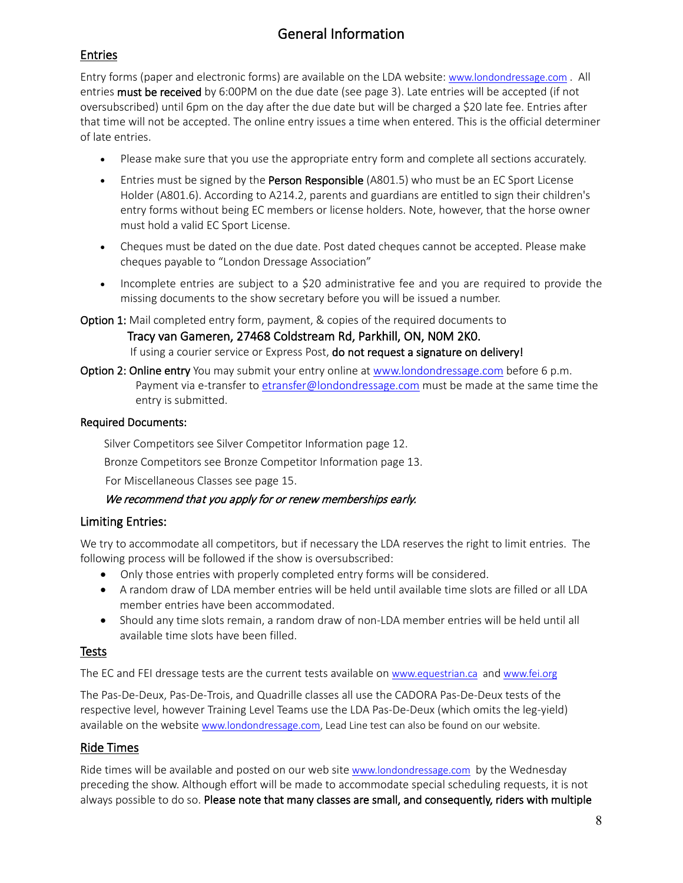# General Information

# Entries

Entry forms (paper and electronic forms) are available on the LDA website: [www.londondressage.com](http://www.londondressage.com/) . All entries must be received by 6:00PM on the due date (see page 3). Late entries will be accepted (if not oversubscribed) until 6pm on the day after the due date but will be charged a \$20 late fee. Entries after that time will not be accepted. The online entry issues a time when entered. This is the official determiner of late entries.

- Please make sure that you use the appropriate entry form and complete all sections accurately.
- Entries must be signed by the Person Responsible (A801.5) who must be an EC Sport License Holder (A801.6). According to A214.2, parents and guardians are entitled to sign their children's entry forms without being EC members or license holders. Note, however, that the horse owner must hold a valid EC Sport License.
- Cheques must be dated on the due date. Post dated cheques cannot be accepted. Please make cheques payable to "London Dressage Association"
- Incomplete entries are subject to a \$20 administrative fee and you are required to provide the missing documents to the show secretary before you will be issued a number.
- Option 1: Mail completed entry form, payment, & copies of the required documents to Tracy van Gameren, 27468 Coldstream Rd, Parkhill, ON, N0M 2K0. If using a courier service or Express Post, do not request a signature on delivery!
- Option 2: Online entry You may submit your entry online at [www.londondressage.com](http://www.londondressage.com/) before 6 p.m. Payment via e-transfer to [etransfer@londondressage.com](mailto:etransfer@londondressage.com) must be made at the same time the entry is submitted.

# Required Documents:

Silver Competitors see Silver Competitor Information page 12.

Bronze Competitors see Bronze Competitor Information page 13.

For Miscellaneous Classes see page 15.

### We recommend that you apply for or renew memberships early.

# Limiting Entries:

We try to accommodate all competitors, but if necessary the LDA reserves the right to limit entries. The following process will be followed if the show is oversubscribed:

- Only those entries with properly completed entry forms will be considered.
- A random draw of LDA member entries will be held until available time slots are filled or all LDA member entries have been accommodated.
- Should any time slots remain, a random draw of non-LDA member entries will be held until all available time slots have been filled.

# Tests

The EC and FEI dressage tests are the current tests available on [www.equestrian.ca](http://www.equestrian.ca/) and www.fei.org

The Pas-De-Deux, Pas-De-Trois, and Quadrille classes all use the CADORA Pas-De-Deux tests of the respective level, however Training Level Teams use the LDA Pas-De-Deux (which omits the leg-yield) available on the website [www.londondressage.com,](http://www.londondressage.com/) Lead Line test can also be found on our website.

# Ride Times

Ride times will be available and posted on our web sit[e www.londondressage.com](http://www.londondressage.com/) by the Wednesday preceding the show. Although effort will be made to accommodate special scheduling requests, it is not always possible to do so. Please note that many classes are small, and consequently, riders with multiple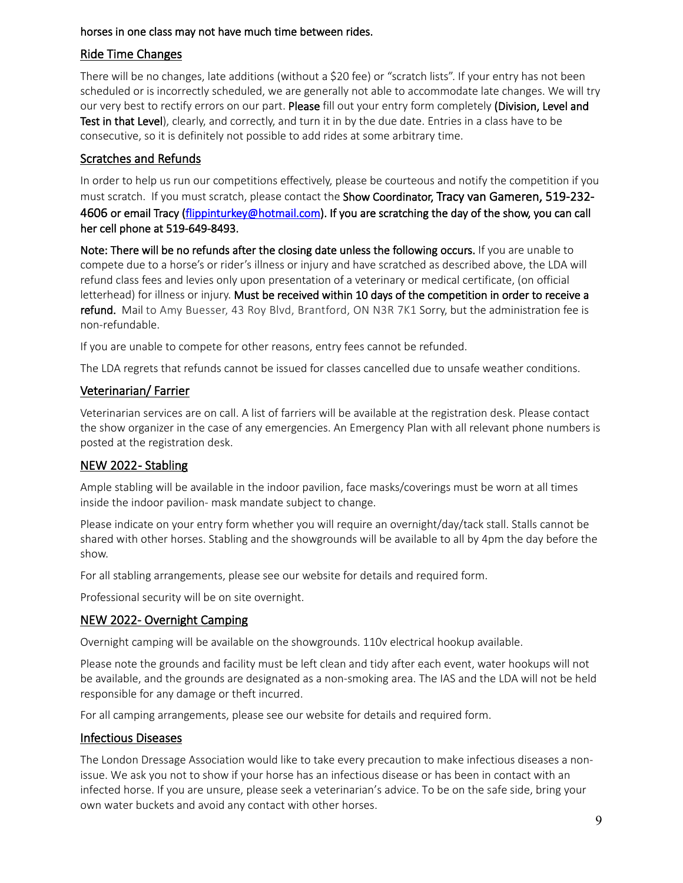### horses in one class may not have much time between rides.

# Ride Time Changes

There will be no changes, late additions (without a \$20 fee) or "scratch lists". If your entry has not been scheduled or is incorrectly scheduled, we are generally not able to accommodate late changes. We will try our very best to rectify errors on our part. Please fill out your entry form completely (Division, Level and Test in that Level), clearly, and correctly, and turn it in by the due date. Entries in a class have to be consecutive, so it is definitely not possible to add rides at some arbitrary time.

# Scratches and Refunds

In order to help us run our competitions effectively, please be courteous and notify the competition if you must scratch. If you must scratch, please contact the Show Coordinator, Tracy van Gameren, 519-232-4606 or email Tracy [\(flippinturkey@hotmail.com\)](mailto:flippinturkey@hotmail.com). If you are scratching the day of the show, you can call her cell phone at 519-649-8493.

Note: There will be no refunds after the closing date unless the following occurs. If you are unable to compete due to a horse's or rider's illness or injury and have scratched as described above, the LDA will refund class fees and levies only upon presentation of a veterinary or medical certificate, (on official letterhead) for illness or injury. Must be received within 10 days of the competition in order to receive a refund. Mail to Amy Buesser, 43 Roy Blvd, Brantford, ON N3R 7K1 Sorry, but the administration fee is non-refundable.

If you are unable to compete for other reasons, entry fees cannot be refunded.

The LDA regrets that refunds cannot be issued for classes cancelled due to unsafe weather conditions.

# Veterinarian/ Farrier

Veterinarian services are on call. A list of farriers will be available at the registration desk. Please contact the show organizer in the case of any emergencies. An Emergency Plan with all relevant phone numbers is posted at the registration desk.

# NEW 2022-Stabling

Ample stabling will be available in the indoor pavilion, face masks/coverings must be worn at all times inside the indoor pavilion- mask mandate subject to change.

Please indicate on your entry form whether you will require an overnight/day/tack stall. Stalls cannot be shared with other horses. Stabling and the showgrounds will be available to all by 4pm the day before the show.

For all stabling arrangements, please see our website for details and required form.

Professional security will be on site overnight.

### NEW 2022- Overnight Camping

Overnight camping will be available on the showgrounds. 110v electrical hookup available.

Please note the grounds and facility must be left clean and tidy after each event, water hookups will not be available, and the grounds are designated as a non-smoking area. The IAS and the LDA will not be held responsible for any damage or theft incurred.

For all camping arrangements, please see our website for details and required form.

### Infectious Diseases

The London Dressage Association would like to take every precaution to make infectious diseases a nonissue. We ask you not to show if your horse has an infectious disease or has been in contact with an infected horse. If you are unsure, please seek a veterinarian's advice. To be on the safe side, bring your own water buckets and avoid any contact with other horses.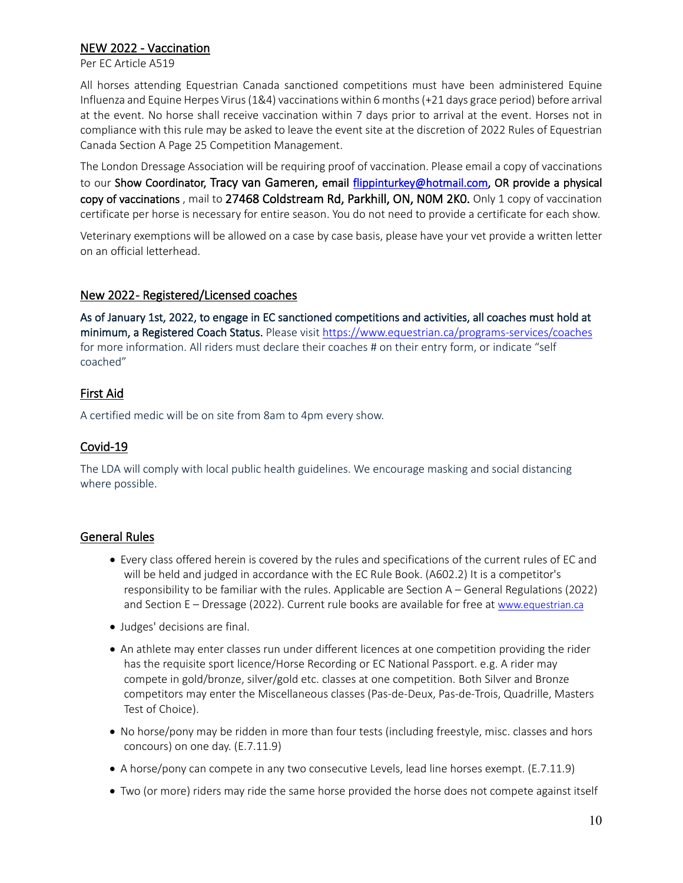# NEW 2022 - Vaccination

Per EC Article A519

All horses attending Equestrian Canada sanctioned competitions must have been administered Equine Influenza and Equine Herpes Virus (1&4) vaccinations within 6 months (+21 days grace period) before arrival at the event. No horse shall receive vaccination within 7 days prior to arrival at the event. Horses not in compliance with this rule may be asked to leave the event site at the discretion of 2022 Rules of Equestrian Canada Section A Page 25 Competition Management.

The London Dressage Association will be requiring proof of vaccination. Please email a copy of vaccinations to our Show Coordinator, Tracy van Gameren, email [flippinturkey@hotmail.com,](mailto:flippinturkey@hotmail.com) OR provide a physical copy of vaccinations , mail to 27468 Coldstream Rd, Parkhill, ON, N0M 2K0. Only 1 copy of vaccination certificate per horse is necessary for entire season. You do not need to provide a certificate for each show.

Veterinary exemptions will be allowed on a case by case basis, please have your vet provide a written letter on an official letterhead.

### New 2022 - Registered/Licensed coaches

As of January 1st, 2022, to engage in EC sanctioned competitions and activities, all coaches must hold at minimum, a Registered Coach Status. Please visit<https://www.equestrian.ca/programs-services/coaches> for more information. All riders must declare their coaches # on their entry form, or indicate "self coached"

# First Aid

A certified medic will be on site from 8am to 4pm every show.

# Covid-19

The LDA will comply with local public health guidelines. We encourage masking and social distancing where possible.

# General Rules

- Every class offered herein is covered by the rules and specifications of the current rules of EC and will be held and judged in accordance with the EC Rule Book. (A602.2) It is a competitor's responsibility to be familiar with the rules. Applicable are Section A – General Regulations (2022) and Section E – Dressage (2022). Current rule books are available for free at [www.equestrian.ca](http://www.equestrian.ca/)
- Judges' decisions are final.
- An athlete may enter classes run under different licences at one competition providing the rider has the requisite sport licence/Horse Recording or EC National Passport. e.g. A rider may compete in gold/bronze, silver/gold etc. classes at one competition. Both Silver and Bronze competitors may enter the Miscellaneous classes (Pas-de-Deux, Pas-de-Trois, Quadrille, Masters Test of Choice).
- No horse/pony may be ridden in more than four tests (including freestyle, misc. classes and hors concours) on one day. (E.7.11.9)
- A horse/pony can compete in any two consecutive Levels, lead line horses exempt. (E.7.11.9)
- Two (or more) riders may ride the same horse provided the horse does not compete against itself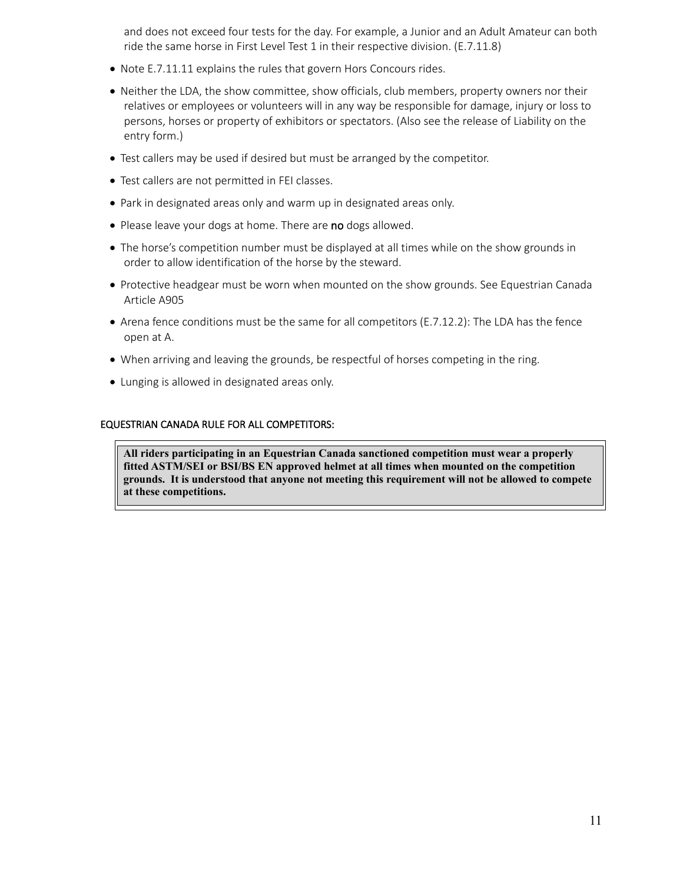and does not exceed four tests for the day. For example, a Junior and an Adult Amateur can both ride the same horse in First Level Test 1 in their respective division. (E.7.11.8)

- Note E.7.11.11 explains the rules that govern Hors Concours rides.
- Neither the LDA, the show committee, show officials, club members, property owners nor their relatives or employees or volunteers will in any way be responsible for damage, injury or loss to persons, horses or property of exhibitors or spectators. (Also see the release of Liability on the entry form.)
- Test callers may be used if desired but must be arranged by the competitor.
- Test callers are not permitted in FEI classes.
- Park in designated areas only and warm up in designated areas only.
- Please leave your dogs at home. There are no dogs allowed.
- The horse's competition number must be displayed at all times while on the show grounds in order to allow identification of the horse by the steward.
- Protective headgear must be worn when mounted on the show grounds. See Equestrian Canada Article A905
- Arena fence conditions must be the same for all competitors (E.7.12.2): The LDA has the fence open at A.
- When arriving and leaving the grounds, be respectful of horses competing in the ring.
- Lunging is allowed in designated areas only.

#### EQUESTRIAN CANADA RULE FOR ALL COMPETITORS:

**All riders participating in an Equestrian Canada sanctioned competition must wear a properly fitted ASTM/SEI or BSI/BS EN approved helmet at all times when mounted on the competition grounds. It is understood that anyone not meeting this requirement will not be allowed to compete at these competitions.**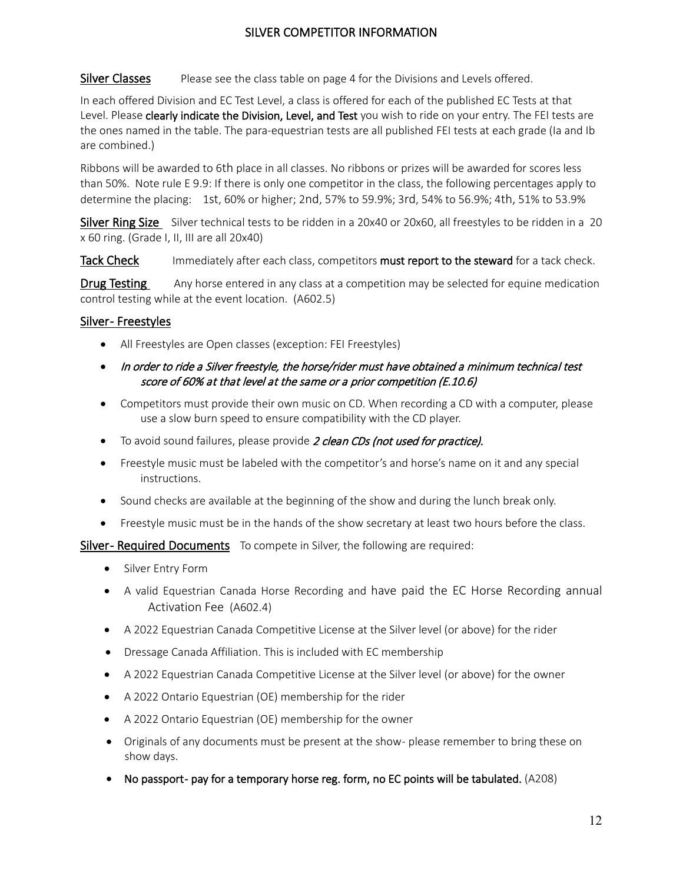# SILVER COMPETITOR INFORMATION

# Silver Classes Please see the class table on page 4 for the Divisions and Levels offered.

In each offered Division and EC Test Level, a class is offered for each of the published EC Tests at that Level. Please clearly indicate the Division, Level, and Test you wish to ride on your entry. The FEI tests are the ones named in the table. The para-equestrian tests are all published FEI tests at each grade (Ia and Ib are combined.)

Ribbons will be awarded to 6th place in all classes. No ribbons or prizes will be awarded for scores less than 50%. Note rule E 9.9: If there is only one competitor in the class, the following percentages apply to determine the placing: 1st, 60% or higher; 2nd, 57% to 59.9%; 3rd, 54% to 56.9%; 4th, 51% to 53.9%

Silver Ring Size Silver technical tests to be ridden in a 20x40 or 20x60, all freestyles to be ridden in a 20 x 60 ring. (Grade I, II, III are all 20x40)

Tack Check Immediately after each class, competitors must report to the steward for a tack check.

**Drug Testing** Any horse entered in any class at a competition may be selected for equine medication control testing while at the event location. (A602.5)

# Silver-Freestyles

- All Freestyles are Open classes (exception: FEI Freestyles)
- In order to ride a Silver freestyle, the horse/rider must have obtained a minimum technical test score of 60% at that level at the same or a prior competition (E.10.6)
- Competitors must provide their own music on CD. When recording a CD with a computer, please use a slow burn speed to ensure compatibility with the CD player.
- To avoid sound failures, please provide 2 clean CDs (not used for practice).
- Freestyle music must be labeled with the competitor's and horse's name on it and any special instructions.
- Sound checks are available at the beginning of the show and during the lunch break only.
- Freestyle music must be in the hands of the show secretary at least two hours before the class.

Silver- Required Documents To compete in Silver, the following are required:

- Silver Entry Form
- A valid Equestrian Canada Horse Recording and have paid the EC Horse Recording annual Activation Fee (A602.4)
- A 2022 Equestrian Canada Competitive License at the Silver level (or above) for the rider
- Dressage Canada Affiliation. This is included with EC membership
- A 2022 Equestrian Canada Competitive License at the Silver level (or above) for the owner
- A 2022 Ontario Equestrian (OE) membership for the rider
- A 2022 Ontario Equestrian (OE) membership for the owner
- Originals of any documents must be present at the show- please remember to bring these on show days.
- No passport- pay for a temporary horse reg. form, no EC points will be tabulated. (A208)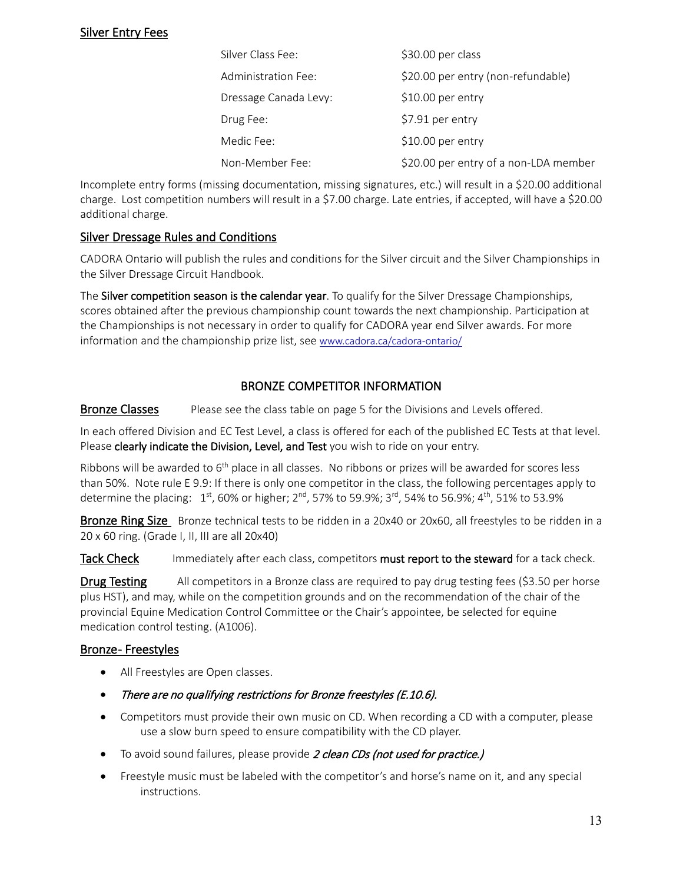# Silver Entry Fees

| Silver Class Fee:     | \$30.00 per class                     |
|-----------------------|---------------------------------------|
| Administration Fee:   | \$20.00 per entry (non-refundable)    |
| Dressage Canada Levy: | $$10.00$ per entry                    |
| Drug Fee:             | \$7.91 per entry                      |
| Medic Fee:            | $$10.00$ per entry                    |
| Non-Member Fee:       | \$20.00 per entry of a non-LDA member |

Incomplete entry forms (missing documentation, missing signatures, etc.) will result in a \$20.00 additional charge. Lost competition numbers will result in a \$7.00 charge. Late entries, if accepted, will have a \$20.00 additional charge.

# Silver Dressage Rules and Conditions

CADORA Ontario will publish the rules and conditions for the Silver circuit and the Silver Championships in the Silver Dressage Circuit Handbook.

The Silver competition season is the calendar year. To qualify for the Silver Dressage Championships, scores obtained after the previous championship count towards the next championship. Participation at the Championships is not necessary in order to qualify for CADORA year end Silver awards. For more information and the championship prize list, se[e www.cadora.ca/cadora-ontario/](http://www.cadora.ca/cadora-ontario/F) 

# BRONZE COMPETITOR INFORMATION

# Bronze Classes Please see the class table on page 5 for the Divisions and Levels offered.

In each offered Division and EC Test Level, a class is offered for each of the published EC Tests at that level. Please clearly indicate the Division, Level, and Test you wish to ride on your entry.

Ribbons will be awarded to 6<sup>th</sup> place in all classes. No ribbons or prizes will be awarded for scores less than 50%. Note rule E 9.9: If there is only one competitor in the class, the following percentages apply to determine the placing: 1<sup>st</sup>, 60% or higher; 2<sup>nd</sup>, 57% to 59.9%; 3<sup>rd</sup>, 54% to 56.9%; 4<sup>th</sup>, 51% to 53.9%

Bronze Ring Size Bronze technical tests to be ridden in a 20x40 or 20x60, all freestyles to be ridden in a 20 x 60 ring. (Grade I, II, III are all 20x40)

### Tack Check Immediately after each class, competitors must report to the steward for a tack check.

**Drug Testing** All competitors in a Bronze class are required to pay drug testing fees (\$3.50 per horse plus HST), and may, while on the competition grounds and on the recommendation of the chair of the provincial Equine Medication Control Committee or the Chair's appointee, be selected for equine medication control testing. (A1006).

# Bronze-Freestyles

- All Freestyles are Open classes.
- There are no qualifying restrictions for Bronze freestyles (E.10.6).
- Competitors must provide their own music on CD. When recording a CD with a computer, please use a slow burn speed to ensure compatibility with the CD player.
- To avoid sound failures, please provide 2 clean CDs (not used for practice.)
- Freestyle music must be labeled with the competitor's and horse's name on it, and any special instructions.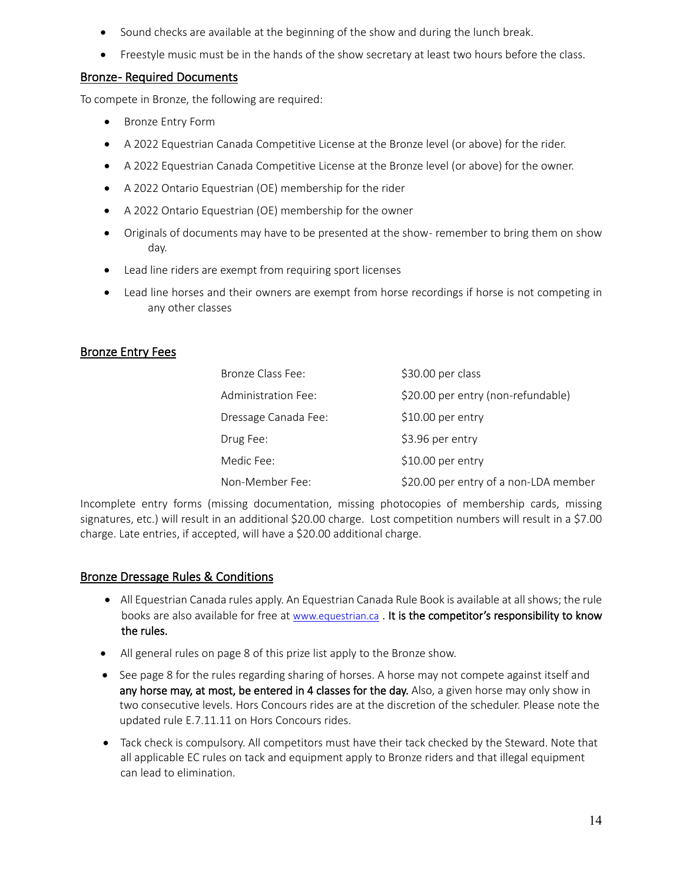- Sound checks are available at the beginning of the show and during the lunch break.
- Freestyle music must be in the hands of the show secretary at least two hours before the class.

# **Bronze- Required Documents**

To compete in Bronze, the following are required:

- Bronze Entry Form
- A 2022 Equestrian Canada Competitive License at the Bronze level (or above) for the rider.
- A 2022 Equestrian Canada Competitive License at the Bronze level (or above) for the owner.
- A 2022 Ontario Equestrian (OE) membership for the rider
- A 2022 Ontario Equestrian (OE) membership for the owner
- Originals of documents may have to be presented at the show-remember to bring them on show day.
- Lead line riders are exempt from requiring sport licenses
- Lead line horses and their owners are exempt from horse recordings if horse is not competing in any other classes

# Bronze Entry Fees

| Bronze Class Fee:    | \$30.00 per class                     |
|----------------------|---------------------------------------|
| Administration Fee:  | \$20.00 per entry (non-refundable)    |
| Dressage Canada Fee: | $$10.00$ per entry                    |
| Drug Fee:            | \$3.96 per entry                      |
| Medic Fee:           | $$10.00$ per entry                    |
| Non-Member Fee:      | \$20.00 per entry of a non-LDA member |

Incomplete entry forms (missing documentation, missing photocopies of membership cards, missing signatures, etc.) will result in an additional \$20.00 charge. Lost competition numbers will result in a \$7.00 charge. Late entries, if accepted, will have a \$20.00 additional charge.

# Bronze Dressage Rules & Conditions

- All Equestrian Canada rules apply. An Equestrian Canada Rule Book is available at all shows; the rule books are also available for free at [www.equestrian.ca](http://www.equestrian.ca/) . It is the competitor's responsibility to know the rules.
- All general rules on page 8 of this prize list apply to the Bronze show.
- See page 8 for the rules regarding sharing of horses. A horse may not compete against itself and any horse may, at most, be entered in 4 classes for the day. Also, a given horse may only show in two consecutive levels. Hors Concours rides are at the discretion of the scheduler. Please note the updated rule E.7.11.11 on Hors Concours rides.
- Tack check is compulsory. All competitors must have their tack checked by the Steward. Note that all applicable EC rules on tack and equipment apply to Bronze riders and that illegal equipment can lead to elimination.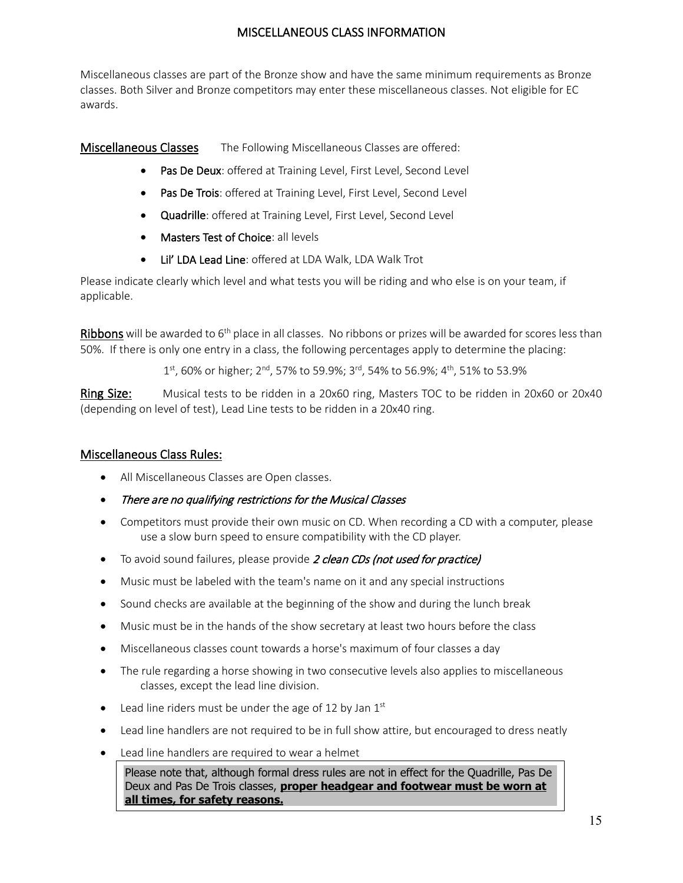# MISCELLANEOUS CLASS INFORMATION

Miscellaneous classes are part of the Bronze show and have the same minimum requirements as Bronze classes. Both Silver and Bronze competitors may enter these miscellaneous classes. Not eligible for EC awards.

Miscellaneous Classes The Following Miscellaneous Classes are offered:

- Pas De Deux: offered at Training Level, First Level, Second Level
- Pas De Trois: offered at Training Level, First Level, Second Level
- Quadrille: offered at Training Level, First Level, Second Level
- Masters Test of Choice: all levels
- Lil' LDA Lead Line: offered at LDA Walk, LDA Walk Trot

Please indicate clearly which level and what tests you will be riding and who else is on your team, if applicable.

Ribbons will be awarded to  $6<sup>th</sup>$  place in all classes. No ribbons or prizes will be awarded for scores less than 50%. If there is only one entry in a class, the following percentages apply to determine the placing:

1st, 60% or higher; 2<sup>nd</sup>, 57% to 59.9%; 3<sup>rd</sup>, 54% to 56.9%; 4<sup>th</sup>, 51% to 53.9%

Ring Size: Musical tests to be ridden in a 20x60 ring, Masters TOC to be ridden in 20x60 or 20x40 (depending on level of test), Lead Line tests to be ridden in a 20x40 ring.

# Miscellaneous Class Rules:

- All Miscellaneous Classes are Open classes.
- There are no qualifying restrictions for the Musical Classes
- Competitors must provide their own music on CD. When recording a CD with a computer, please use a slow burn speed to ensure compatibility with the CD player.
- To avoid sound failures, please provide 2 clean CDs (not used for practice)
- Music must be labeled with the team's name on it and any special instructions
- Sound checks are available at the beginning of the show and during the lunch break
- Music must be in the hands of the show secretary at least two hours before the class
- Miscellaneous classes count towards a horse's maximum of four classes a day
- The rule regarding a horse showing in two consecutive levels also applies to miscellaneous classes, except the lead line division.
- Lead line riders must be under the age of 12 by Jan  $1<sup>st</sup>$
- Lead line handlers are not required to be in full show attire, but encouraged to dress neatly
- Lead line handlers are required to wear a helmet

Please note that, although formal dress rules are not in effect for the Quadrille, Pas De Deux and Pas De Trois classes, **proper headgear and footwear must be worn at all times, for safety reasons.**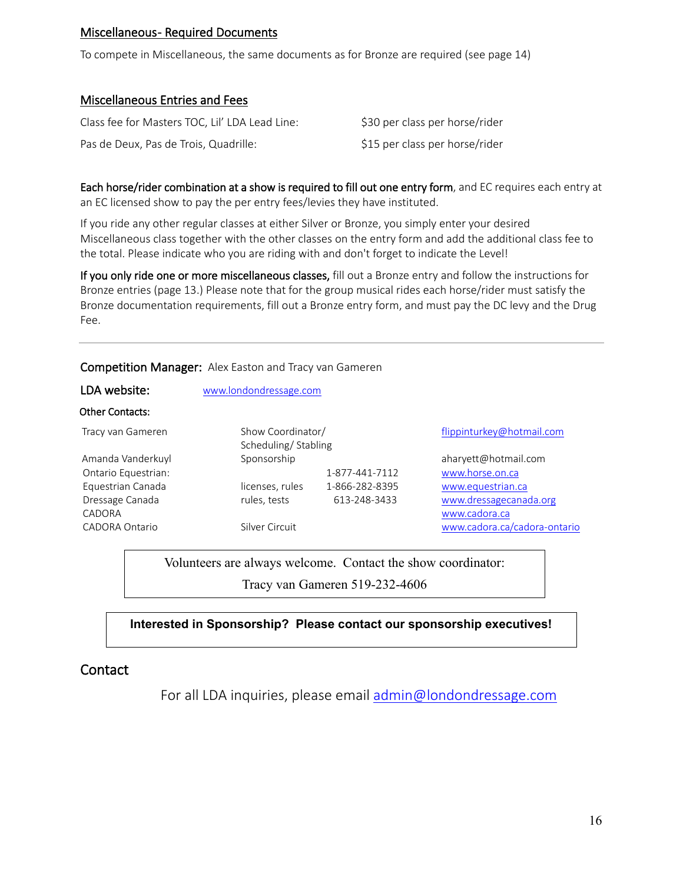# Miscellaneous- Required Documents

To compete in Miscellaneous, the same documents as for Bronze are required (see page 14)

#### Miscellaneous Entries and Fees

| Class fee for Masters TOC, Lil' LDA Lead Line: | \$30 per class per horse/rider |
|------------------------------------------------|--------------------------------|
| Pas de Deux, Pas de Trois, Quadrille:          | \$15 per class per horse/rider |

Each horse/rider combination at a show is required to fill out one entry form, and EC requires each entry at an EC licensed show to pay the per entry fees/levies they have instituted.

If you ride any other regular classes at either Silver or Bronze, you simply enter your desired Miscellaneous class together with the other classes on the entry form and add the additional class fee to the total. Please indicate who you are riding with and don't forget to indicate the Level!

If you only ride one or more miscellaneous classes, fill out a Bronze entry and follow the instructions for Bronze entries (page 13.) Please note that for the group musical rides each horse/rider must satisfy the Bronze documentation requirements, fill out a Bronze entry form, and must pay the DC levy and the Drug Fee.

#### Competition Manager: Alex Easton and Tracy van Gameren

| LDA website:        | www.londondressage.com                   |                |                              |  |
|---------------------|------------------------------------------|----------------|------------------------------|--|
| Other Contacts:     |                                          |                |                              |  |
| Tracy van Gameren   | Show Coordinator/<br>Scheduling/Stabling |                | flippinturkey@hotmail.com    |  |
| Amanda Vanderkuyl   | Sponsorship                              |                | aharyett@hotmail.com         |  |
| Ontario Equestrian: |                                          | 1-877-441-7112 | www.horse.on.ca              |  |
| Equestrian Canada   | licenses, rules                          | 1-866-282-8395 | www.equestrian.ca            |  |
| Dressage Canada     | rules, tests                             | 613-248-3433   | www.dressagecanada.org       |  |
| CADORA              |                                          |                | www.cadora.ca                |  |
| CADORA Ontario      | Silver Circuit                           |                | www.cadora.ca/cadora-ontario |  |

Volunteers are always welcome. Contact the show coordinator:

Tracy van Gameren 519-232-4606

### **Interested in Sponsorship? Please contact our sponsorship executives!**

# **Contact**

For all LDA inquiries, please email [admin@londondressage.com](mailto:admin@londondressage.com)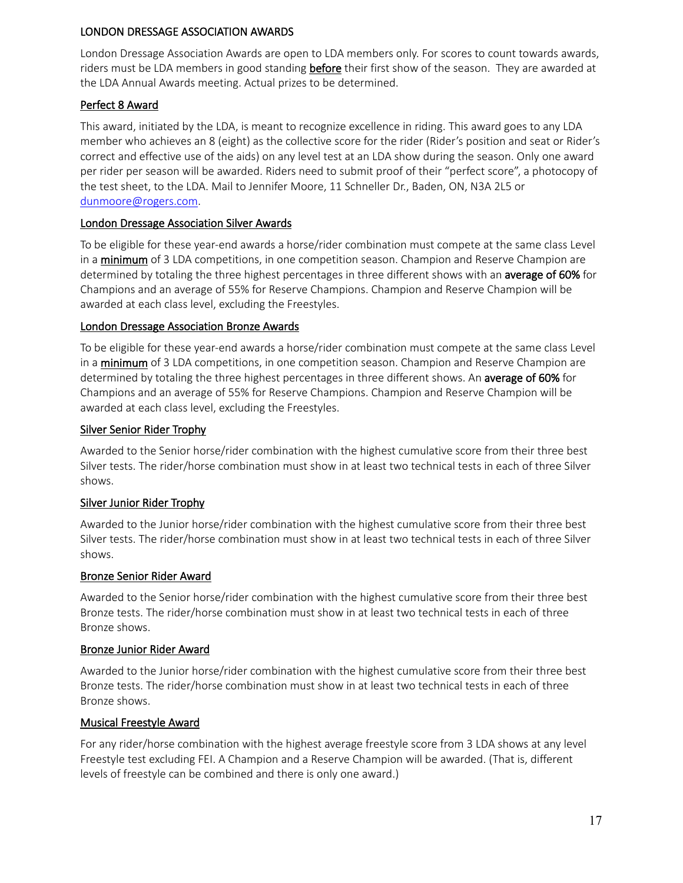### LONDON DRESSAGE ASSOCIATION AWARDS

London Dressage Association Awards are open to LDA members only. For scores to count towards awards, riders must be LDA members in good standing before their first show of the season. They are awarded at the LDA Annual Awards meeting. Actual prizes to be determined.

### Perfect 8 Award

This award, initiated by the LDA, is meant to recognize excellence in riding. This award goes to any LDA member who achieves an 8 (eight) as the collective score for the rider (Rider's position and seat or Rider's correct and effective use of the aids) on any level test at an LDA show during the season. Only one award per rider per season will be awarded. Riders need to submit proof of their "perfect score", a photocopy of the test sheet, to the LDA. Mail to Jennifer Moore, 11 Schneller Dr., Baden, ON, N3A 2L5 or [dunmoore@rogers.com.](mailto:dunmoore@rogers.com)

### London Dressage Association Silver Awards

To be eligible for these year-end awards a horse/rider combination must compete at the same class Level in a minimum of 3 LDA competitions, in one competition season. Champion and Reserve Champion are determined by totaling the three highest percentages in three different shows with an average of 60% for Champions and an average of 55% for Reserve Champions. Champion and Reserve Champion will be awarded at each class level, excluding the Freestyles.

### London Dressage Association Bronze Awards

To be eligible for these year-end awards a horse/rider combination must compete at the same class Level in a minimum of 3 LDA competitions, in one competition season. Champion and Reserve Champion are determined by totaling the three highest percentages in three different shows. An average of 60% for Champions and an average of 55% for Reserve Champions. Champion and Reserve Champion will be awarded at each class level, excluding the Freestyles.

# Silver Senior Rider Trophy

Awarded to the Senior horse/rider combination with the highest cumulative score from their three best Silver tests. The rider/horse combination must show in at least two technical tests in each of three Silver shows.

# Silver Junior Rider Trophy

Awarded to the Junior horse/rider combination with the highest cumulative score from their three best Silver tests. The rider/horse combination must show in at least two technical tests in each of three Silver shows.

### Bronze Senior Rider Award

Awarded to the Senior horse/rider combination with the highest cumulative score from their three best Bronze tests. The rider/horse combination must show in at least two technical tests in each of three Bronze shows.

### Bronze Junior Rider Award

Awarded to the Junior horse/rider combination with the highest cumulative score from their three best Bronze tests. The rider/horse combination must show in at least two technical tests in each of three Bronze shows.

### Musical Freestyle Award

For any rider/horse combination with the highest average freestyle score from 3 LDA shows at any level Freestyle test excluding FEI. A Champion and a Reserve Champion will be awarded. (That is, different levels of freestyle can be combined and there is only one award.)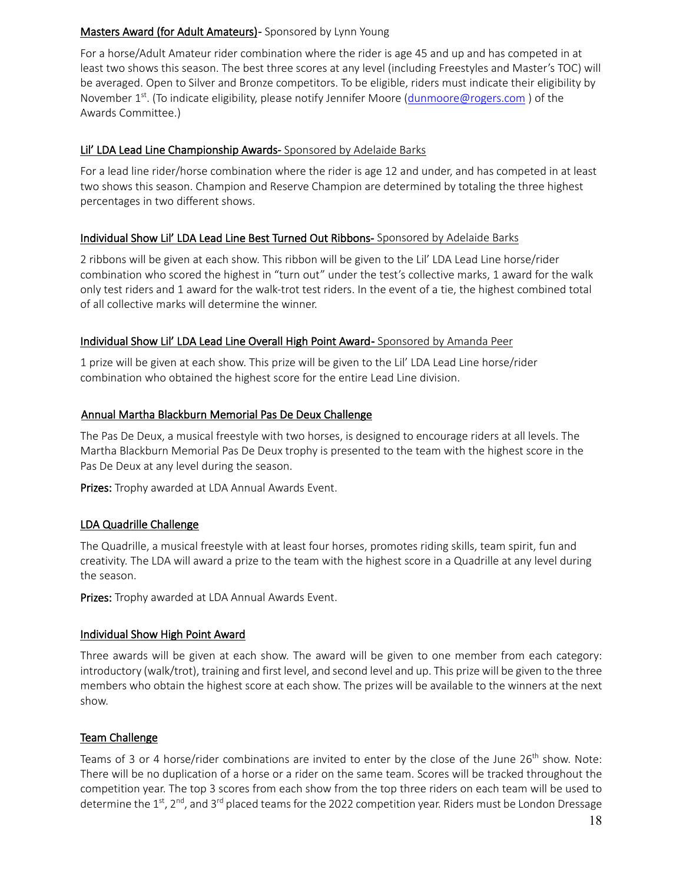## Masters Award (for Adult Amateurs) - Sponsored by Lynn Young

For a horse/Adult Amateur rider combination where the rider is age 45 and up and has competed in at least two shows this season. The best three scores at any level (including Freestyles and Master's TOC) will be averaged. Open to Silver and Bronze competitors. To be eligible, riders must indicate their eligibility by November 1<sup>st</sup>. (To indicate eligibility, please notify Jennifer Moore [\(dunmoore@rogers.com](mailto:dunmoore@rogers.com)) of the Awards Committee.)

# Lil' LDA Lead Line Championship Awards- Sponsored by Adelaide Barks

For a lead line rider/horse combination where the rider is age 12 and under, and has competed in at least two shows this season. Champion and Reserve Champion are determined by totaling the three highest percentages in two different shows.

### Individual Show Lil' LDA Lead Line Best Turned Out Ribbons- Sponsored by Adelaide Barks

2 ribbons will be given at each show. This ribbon will be given to the Lil' LDA Lead Line horse/rider combination who scored the highest in "turn out" under the test's collective marks, 1 award for the walk only test riders and 1 award for the walk-trot test riders. In the event of a tie, the highest combined total of all collective marks will determine the winner.

# Individual Show Lil' LDA Lead Line Overall High Point Award- Sponsored by Amanda Peer

1 prize will be given at each show. This prize will be given to the Lil' LDA Lead Line horse/rider combination who obtained the highest score for the entire Lead Line division.

# Annual Martha Blackburn Memorial Pas De Deux Challenge

The Pas De Deux, a musical freestyle with two horses, is designed to encourage riders at all levels. The Martha Blackburn Memorial Pas De Deux trophy is presented to the team with the highest score in the Pas De Deux at any level during the season.

Prizes: Trophy awarded at LDA Annual Awards Event.

### LDA Quadrille Challenge

The Quadrille, a musical freestyle with at least four horses, promotes riding skills, team spirit, fun and creativity. The LDA will award a prize to the team with the highest score in a Quadrille at any level during the season.

Prizes: Trophy awarded at LDA Annual Awards Event.

### Individual Show High Point Award

Three awards will be given at each show. The award will be given to one member from each category: introductory (walk/trot), training and first level, and second level and up. This prize will be given to the three members who obtain the highest score at each show. The prizes will be available to the winners at the next show.

### Team Challenge

Teams of 3 or 4 horse/rider combinations are invited to enter by the close of the June  $26<sup>th</sup>$  show. Note: There will be no duplication of a horse or a rider on the same team. Scores will be tracked throughout the competition year. The top 3 scores from each show from the top three riders on each team will be used to determine the 1<sup>st</sup>, 2<sup>nd</sup>, and 3<sup>rd</sup> placed teams for the 2022 competition year. Riders must be London Dressage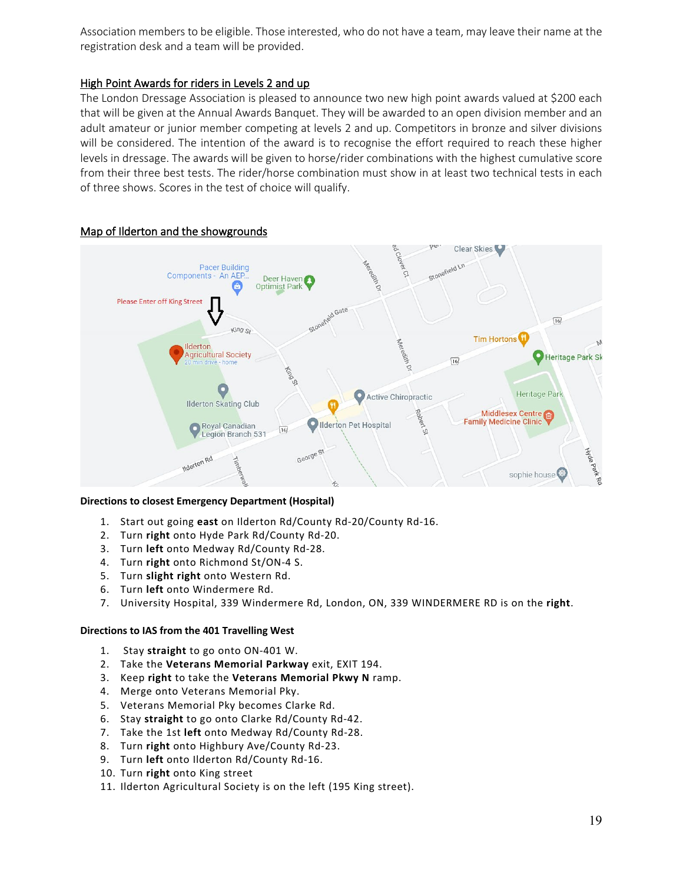Association members to be eligible. Those interested, who do not have a team, may leave their name at the registration desk and a team will be provided.

#### High Point Awards for riders in Levels 2 and up

The London Dressage Association is pleased to announce two new high point awards valued at \$200 each that will be given at the Annual Awards Banquet. They will be awarded to an open division member and an adult amateur or junior member competing at levels 2 and up. Competitors in bronze and silver divisions will be considered. The intention of the award is to recognise the effort required to reach these higher levels in dressage. The awards will be given to horse/rider combinations with the highest cumulative score from their three best tests. The rider/horse combination must show in at least two technical tests in each of three shows. Scores in the test of choice will qualify.



#### Map of Ilderton and the showgrounds

#### **Directions to closest Emergency Department (Hospital)**

- 1. Start out going **east** on Ilderton Rd/County Rd-20/County Rd-16.
- 2. Turn **right** onto Hyde Park Rd/County Rd-20.
- 3. Turn **left** onto Medway Rd/County Rd-28.
- 4. Turn **right** onto Richmond St/ON-4 S.
- 5. Turn **slight right** onto Western Rd.
- 6. Turn **left** onto Windermere Rd.
- 7. University Hospital, 339 Windermere Rd, London, ON, 339 WINDERMERE RD is on the **right**.

#### **Directions to IAS from the 401 Travelling West**

- 1. Stay **straight** to go onto ON-401 W.
- 2. Take the **Veterans Memorial Parkway** exit, EXIT 194.
- 3. Keep **right** to take the **Veterans Memorial Pkwy N** ramp.
- 4. Merge onto Veterans Memorial Pky.
- 5. Veterans Memorial Pky becomes Clarke Rd.
- 6. Stay **straight** to go onto Clarke Rd/County Rd-42.
- 7. Take the 1st **left** onto Medway Rd/County Rd-28.
- 8. Turn **right** onto Highbury Ave/County Rd-23.
- 9. Turn **left** onto Ilderton Rd/County Rd-16.
- 10. Turn **right** onto King street
- 11. Ilderton Agricultural Society is on the left (195 King street).